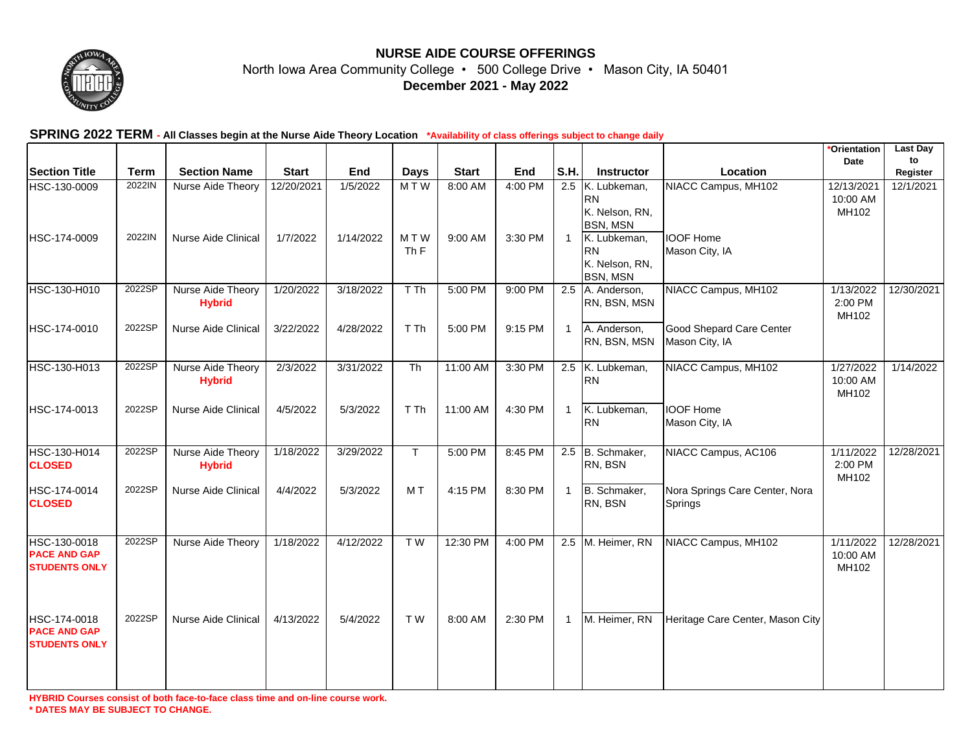

## **NURSE AIDE COURSE OFFERINGS**

North Iowa Area Community College • 500 College Drive • Mason City, IA 50401 **December 2021 - May 2022**

## **SPRING 2022 TERM - All Classes begin at the Nurse Aide Theory Location \*Availability of class offerings subject to change daily**

|                                                             |             |                                    |              |           |                        |              |         |              |                                                                |                                            | *Orientation                    | <b>Last Day</b> |
|-------------------------------------------------------------|-------------|------------------------------------|--------------|-----------|------------------------|--------------|---------|--------------|----------------------------------------------------------------|--------------------------------------------|---------------------------------|-----------------|
| <b>Section Title</b>                                        | <b>Term</b> | <b>Section Name</b>                | <b>Start</b> | End       | <b>Days</b>            | <b>Start</b> | End     | S.H.         | Instructor                                                     | Location                                   | Date                            | to<br>Register  |
| HSC-130-0009                                                | 2022IN      | Nurse Aide Theory                  | 12/20/2021   | 1/5/2022  | MTW                    | 8:00 AM      | 4:00 PM | 2.5          | K. Lubkeman,<br><b>RN</b><br>K. Nelson, RN,<br><b>BSN, MSN</b> | NIACC Campus, MH102                        | 12/13/2021<br>10:00 AM<br>MH102 | 12/1/2021       |
| HSC-174-0009                                                | 2022IN      | Nurse Aide Clinical                | 1/7/2022     | 1/14/2022 | MTW<br>Th <sub>F</sub> | 9:00 AM      | 3:30 PM | $\mathbf{1}$ | K. Lubkeman,<br><b>RN</b><br>K. Nelson, RN,<br><b>BSN, MSN</b> | <b>IOOF Home</b><br>Mason City, IA         |                                 |                 |
| HSC-130-H010                                                | 2022SP      | Nurse Aide Theory<br><b>Hybrid</b> | 1/20/2022    | 3/18/2022 | T Th                   | 5:00 PM      | 9:00 PM |              | 2.5 A. Anderson,<br>RN, BSN, MSN                               | NIACC Campus, MH102                        | 1/13/2022<br>2:00 PM<br>MH102   | 12/30/2021      |
| HSC-174-0010                                                | 2022SP      | <b>Nurse Aide Clinical</b>         | 3/22/2022    | 4/28/2022 | T Th                   | 5:00 PM      | 9:15 PM |              | 1 A. Anderson,<br>RN, BSN, MSN                                 | Good Shepard Care Center<br>Mason City, IA |                                 |                 |
| HSC-130-H013                                                | 2022SP      | Nurse Aide Theory<br><b>Hybrid</b> | 2/3/2022     | 3/31/2022 | Th                     | 11:00 AM     | 3:30 PM |              | 2.5 K. Lubkeman,<br><b>RN</b>                                  | NIACC Campus, MH102                        | 1/27/2022<br>10:00 AM<br>MH102  | 1/14/2022       |
| HSC-174-0013                                                | 2022SP      | <b>Nurse Aide Clinical</b>         | 4/5/2022     | 5/3/2022  | T Th                   | 11:00 AM     | 4:30 PM | $\mathbf{1}$ | K. Lubkeman,<br><b>RN</b>                                      | <b>IOOF Home</b><br>Mason City, IA         |                                 |                 |
| HSC-130-H014<br><b>CLOSED</b>                               | 2022SP      | Nurse Aide Theory<br><b>Hybrid</b> | 1/18/2022    | 3/29/2022 | T.                     | 5:00 PM      | 8:45 PM |              | 2.5 B. Schmaker,<br>RN, BSN                                    | NIACC Campus, AC106                        | 1/11/2022<br>2:00 PM<br>MH102   | 12/28/2021      |
| HSC-174-0014<br><b>CLOSED</b>                               | 2022SP      | Nurse Aide Clinical                | 4/4/2022     | 5/3/2022  | MT                     | 4:15 PM      | 8:30 PM | $\mathbf{1}$ | B. Schmaker,<br>RN, BSN                                        | Nora Springs Care Center, Nora<br>Springs  |                                 |                 |
| HSC-130-0018<br><b>PACE AND GAP</b><br><b>STUDENTS ONLY</b> | 2022SP      | Nurse Aide Theory                  | 1/18/2022    | 4/12/2022 | TW                     | 12:30 PM     | 4:00 PM |              | 2.5 M. Heimer, RN                                              | NIACC Campus, MH102                        | 1/11/2022<br>10:00 AM<br>MH102  | 12/28/2021      |
| HSC-174-0018<br><b>PACE AND GAP</b><br><b>STUDENTS ONLY</b> | 2022SP      | Nurse Aide Clinical                | 4/13/2022    | 5/4/2022  | T W                    | 8:00 AM      | 2:30 PM | $\mathbf{1}$ | M. Heimer, RN                                                  | Heritage Care Center, Mason City           |                                 |                 |

**HYBRID Courses consist of both face-to-face class time and on-line course work. \* DATES MAY BE SUBJECT TO CHANGE.**